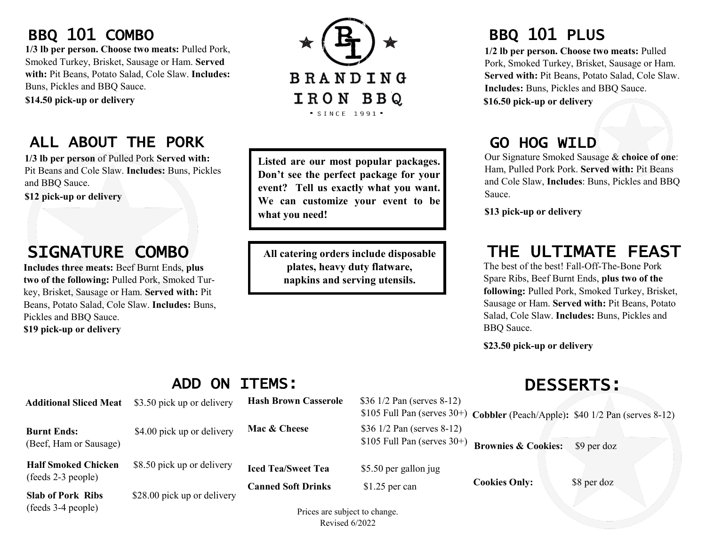# BBQ 101 COMBO

**1/3 lb per person. Choose two meats:** Pulled Pork, Smoked Turkey, Brisket, Sausage or Ham. **Served with:** Pit Beans, Potato Salad, Cole Slaw. **Includes:**  Buns, Pickles and BBQ Sauce.

**\$14.50 pick-up or delivery** 

### ALL ABOUT THE PORK

**1/3 lb per person** of Pulled Pork **Served with:**  Pit Beans and Cole Slaw. **Includes:** Buns, Pickles and BBQ Sauce.

**\$12 pick-up or delivery** 

# SIGNATURE COMBO

**Includes three meats:** Beef Burnt Ends, **plus two of the following:** Pulled Pork, Smoked Turkey, Brisket, Sausage or Ham. **Served with:** Pit Beans, Potato Salad, Cole Slaw. **Includes:** Buns, Pickles and BBQ Sauce. **\$19 pick-up or delivery** 

**BRANDING** IRON BBQ  $\bullet$  SINCE 1991 $\bullet$ 

**Listed are our most popular packages. Don't see the perfect package for your event? Tell us exactly what you want. We can customize your event to be what you need!**

**All catering orders include disposable plates, heavy duty flatware, napkins and serving utensils.**

## BBQ 101 PLUS

**1/2 lb per person. Choose two meats:** Pulled Pork, Smoked Turkey, Brisket, Sausage or Ham. **Served with:** Pit Beans, Potato Salad, Cole Slaw. **Includes:** Buns, Pickles and BBQ Sauce. **\$16.50 pick-up or delivery** 

# GO HOG WILD

Our Signature Smoked Sausage & **choice of one**: Ham, Pulled Pork Pork. **Served with:** Pit Beans and Cole Slaw, **Includes**: Buns, Pickles and BBQ Sauce.

**\$13 pick-up or delivery** 

### THE ULTIMATE FEAST

The best of the best! Fall-Off-The-Bone Pork Spare Ribs, Beef Burnt Ends, **plus two of the following:** Pulled Pork, Smoked Turkey, Brisket, Sausage or Ham. **Served with:** Pit Beans, Potato Salad, Cole Slaw. **Includes:** Buns, Pickles and BBQ Sauce.

**\$23.50 pick-up or delivery** 

|                                                  | <b>ITEMS:</b><br>ON<br><b>ADD</b> |                                                                                        | <b>DESSERTS:</b>                                                                                                 |                                |             |
|--------------------------------------------------|-----------------------------------|----------------------------------------------------------------------------------------|------------------------------------------------------------------------------------------------------------------|--------------------------------|-------------|
| <b>Additional Sliced Meat</b>                    | \$3.50 pick up or delivery        | <b>Hash Brown Casserole</b>                                                            | \$36 $1/2$ Pan (serves 8-12)<br>\$105 Full Pan (serves $30+$ ) Cobbler (Peach/Apple): \$40 1/2 Pan (serves 8-12) |                                |             |
| <b>Burnt Ends:</b><br>(Beef, Ham or Sausage)     | \$4.00 pick up or delivery        | Mac & Cheese                                                                           | \$36 1/2 Pan (serves 8-12)<br>\$105 Full Pan (serves $30+$ )                                                     | <b>Brownies &amp; Cookies:</b> | \$9 per doz |
| <b>Half Smoked Chicken</b><br>(feeds 2-3 people) | \$8.50 pick up or delivery        | <b>Iced Tea/Sweet Tea</b><br><b>Canned Soft Drinks</b><br>Drigge are eubject to change | \$5.50 per gallon jug                                                                                            | <b>Cookies Only:</b>           | \$8 per doz |
| <b>Slab of Pork Ribs</b><br>(feeds 3-4 people)   | \$28.00 pick up or delivery       |                                                                                        | $$1.25$ per can                                                                                                  |                                |             |

#### Prices are subject to change. Revised 6/2022